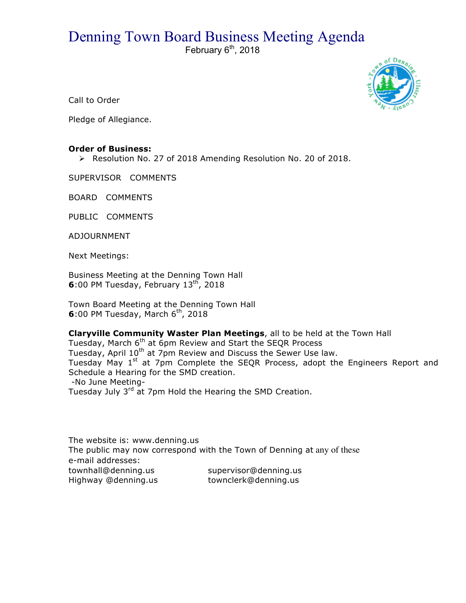## Denning Town Board Business Meeting Agenda

February  $6<sup>th</sup>$ , 2018



Call to Order

Pledge of Allegiance.

## **Order of Business:**

▶ Resolution No. 27 of 2018 Amending Resolution No. 20 of 2018.

SUPERVISOR COMMENTS

BOARD COMMENTS

PUBLIC COMMENTS

ADJOURNMENT

Next Meetings:

Business Meeting at the Denning Town Hall **6**:00 PM Tuesday, February 13<sup>th</sup>, 2018

Town Board Meeting at the Denning Town Hall **6**:00 PM Tuesday, March 6<sup>th</sup>, 2018

**Claryville Community Waster Plan Meetings**, all to be held at the Town Hall Tuesday, March 6<sup>th</sup> at 6pm Review and Start the SEQR Process Tuesday, April 10<sup>th</sup> at 7pm Review and Discuss the Sewer Use law. Tuesday May 1<sup>st</sup> at 7pm Complete the SEQR Process, adopt the Engineers Report and Schedule a Hearing for the SMD creation. -No June Meeting-Tuesday July 3<sup>rd</sup> at 7pm Hold the Hearing the SMD Creation.

The website is: www.denning.us The public may now correspond with the Town of Denning at any of these e-mail addresses: townhall@denning.us supervisor@denning.us Highway @denning.us townclerk@denning.us